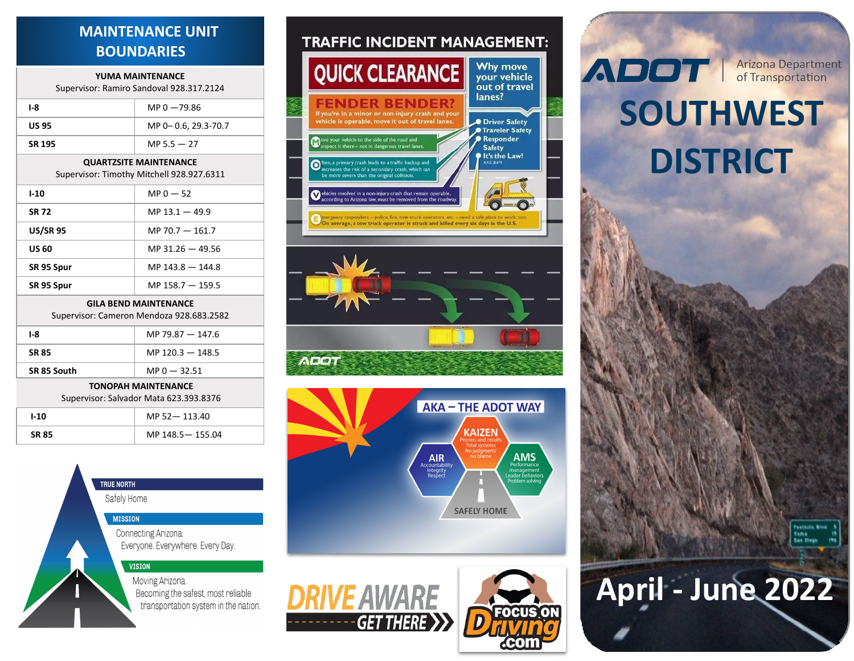## **MAINTENANCE UNIT BOUNDARIES**

#### **YUMA MAINTENANCE** Supervisor: Ramiro Sandoval 928.317.2124

| 3upervisor. Ramino 3anuovai 320.317.2124                                   |                     |  |
|----------------------------------------------------------------------------|---------------------|--|
| I-8                                                                        | $MP 0 - 79.86$      |  |
| <b>US 95</b>                                                               | MP 0-0.6, 29.3-70.7 |  |
| SR 195                                                                     | MP $5.5 - 27$       |  |
| <b>QUARTZSITE MAINTENANCE</b><br>Supervisor: Timothy Mitchell 928.927.6311 |                     |  |
| $1 - 10$                                                                   | $MP 0 - 52$         |  |
| <b>SR 72</b>                                                               | MP $13.1 - 49.9$    |  |
| <b>US/SR 95</b>                                                            | MP 70.7 $-$ 161.7   |  |
| <b>US 60</b>                                                               | MP $31.26 - 49.56$  |  |
| SR 95 Spur                                                                 | MP $143.8 - 144.8$  |  |
| SR 95 Spur                                                                 | MP $158.7 - 159.5$  |  |
| <b>GILA BEND MAINTENANCE</b><br>Supervisor: Cameron Mendoza 928.683.2582   |                     |  |
| $I-8$                                                                      | MP 79.87 $-$ 147.6  |  |
| <b>SR 85</b>                                                               | MP $120.3 - 148.5$  |  |
|                                                                            |                     |  |

#### **TONOPAH MAINTENANCE**

Supervisor: Salvador Mata 623.393.8376

**SR 85 South** MP 0 — 32.51

| I-10         | MP 52-113.40    |
|--------------|-----------------|
| <b>SR 85</b> | MP 148.5-155.04 |

## **TRUE NORTH** Safely Home **MISSION** Connecting Arizona. Everyone. Everywhere. Every Day. **VISION** Moving Arizona. Becoming the safest, most reliable transportation system in the nation.

## **TRAFFIC INCIDENT MANAGEMENT:**









## **Arizona Department**<br>of Transportation **ADOT**

# **SOUTHWEST DISTRICT**



# **April - June 2022**